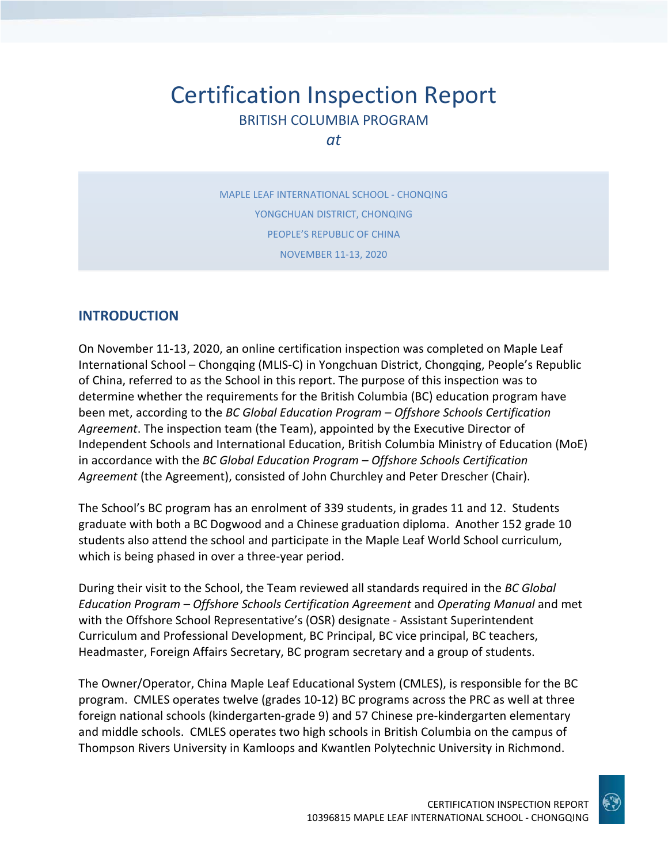# Certification Inspection Report BRITISH COLUMBIA PROGRAM

*at*

MAPLE LEAF INTERNATIONAL SCHOOL - CHONQING YONGCHUAN DISTRICT, CHONQING PEOPLE'S REPUBLIC OF CHINA NOVEMBER 11-13, 2020

# **INTRODUCTION**

On November 11-13, 2020, an online certification inspection was completed on Maple Leaf International School – Chongqing (MLIS-C) in Yongchuan District, Chongqing, People's Republic of China, referred to as the School in this report. The purpose of this inspection was to determine whether the requirements for the British Columbia (BC) education program have been met, according to the *BC Global Education Program – Offshore Schools Certification Agreement*. The inspection team (the Team), appointed by the Executive Director of Independent Schools and International Education, British Columbia Ministry of Education (MoE) in accordance with the *BC Global Education Program – Offshore Schools Certification Agreement* (the Agreement), consisted of John Churchley and Peter Drescher (Chair).

The School's BC program has an enrolment of 339 students, in grades 11 and 12. Students graduate with both a BC Dogwood and a Chinese graduation diploma. Another 152 grade 10 students also attend the school and participate in the Maple Leaf World School curriculum, which is being phased in over a three-year period.

During their visit to the School, the Team reviewed all standards required in the *BC Global Education Program – Offshore Schools Certification Agreement* and *Operating Manual* and met with the Offshore School Representative's (OSR) designate - Assistant Superintendent Curriculum and Professional Development, BC Principal, BC vice principal, BC teachers, Headmaster, Foreign Affairs Secretary, BC program secretary and a group of students.

The Owner/Operator, China Maple Leaf Educational System (CMLES), is responsible for the BC program. CMLES operates twelve (grades 10-12) BC programs across the PRC as well at three foreign national schools (kindergarten-grade 9) and 57 Chinese pre-kindergarten elementary and middle schools. CMLES operates two high schools in British Columbia on the campus of Thompson Rivers University in Kamloops and Kwantlen Polytechnic University in Richmond.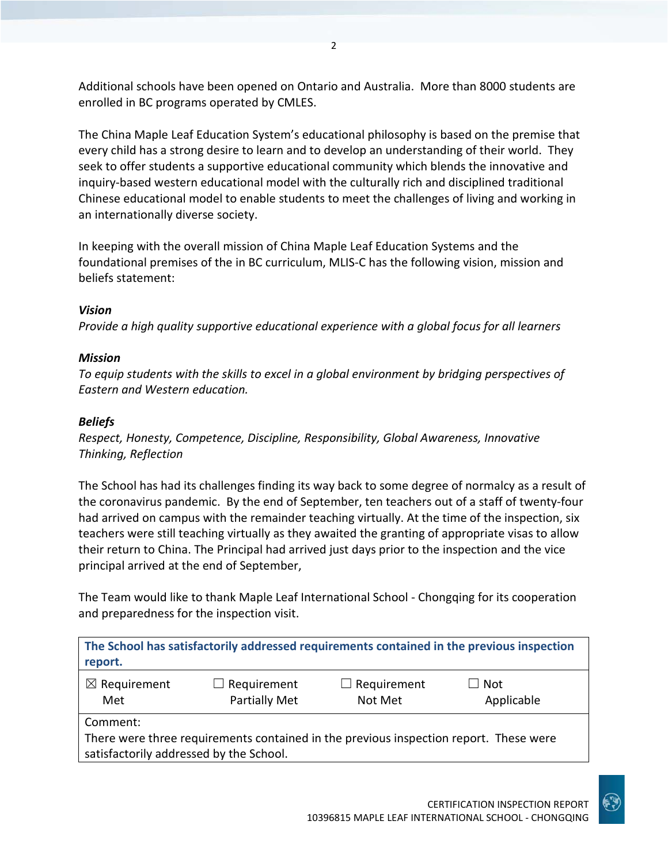Additional schools have been opened on Ontario and Australia. More than 8000 students are enrolled in BC programs operated by CMLES.

The China Maple Leaf Education System's educational philosophy is based on the premise that every child has a strong desire to learn and to develop an understanding of their world. They seek to offer students a supportive educational community which blends the innovative and inquiry-based western educational model with the culturally rich and disciplined traditional Chinese educational model to enable students to meet the challenges of living and working in an internationally diverse society.

In keeping with the overall mission of China Maple Leaf Education Systems and the foundational premises of the in BC curriculum, MLIS-C has the following vision, mission and beliefs statement:

### *Vision*

*Provide a high quality supportive educational experience with a global focus for all learners*

### *Mission*

*To equip students with the skills to excel in a global environment by bridging perspectives of Eastern and Western education.*

### *Beliefs*

*Respect, Honesty, Competence, Discipline, Responsibility, Global Awareness, Innovative Thinking, Reflection*

The School has had its challenges finding its way back to some degree of normalcy as a result of the coronavirus pandemic. By the end of September, ten teachers out of a staff of twenty-four had arrived on campus with the remainder teaching virtually. At the time of the inspection, six teachers were still teaching virtually as they awaited the granting of appropriate visas to allow their return to China. The Principal had arrived just days prior to the inspection and the vice principal arrived at the end of September,

The Team would like to thank Maple Leaf International School - Chongqing for its cooperation and preparedness for the inspection visit.

| The School has satisfactorily addressed requirements contained in the previous inspection<br>report.                                         |                                     |                               |                          |
|----------------------------------------------------------------------------------------------------------------------------------------------|-------------------------------------|-------------------------------|--------------------------|
| $\boxtimes$ Requirement<br>Met                                                                                                               | $\Box$ Requirement<br>Partially Met | $\Box$ Requirement<br>Not Met | $\Box$ Not<br>Applicable |
| Comment:<br>There were three requirements contained in the previous inspection report. These were<br>satisfactorily addressed by the School. |                                     |                               |                          |

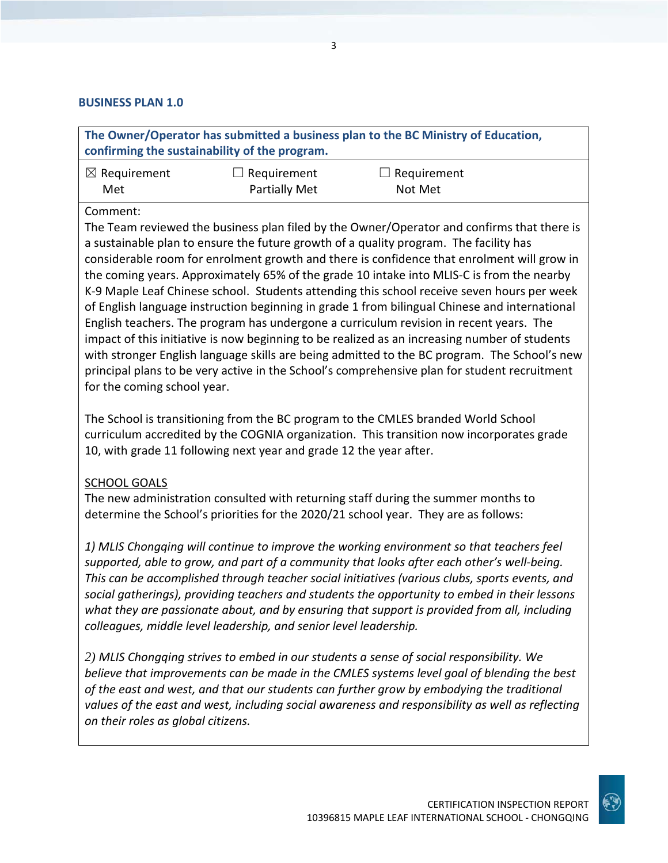#### **BUSINESS PLAN 1.0**

**The Owner/Operator has submitted a business plan to the BC Ministry of Education, confirming the sustainability of the program.**

| $\boxtimes$ Requirement | $\Box$ Requirement | $\Box$ Requirement |
|-------------------------|--------------------|--------------------|
| Met                     | Partially Met      | Not Met            |

Comment:

The Team reviewed the business plan filed by the Owner/Operator and confirms that there is a sustainable plan to ensure the future growth of a quality program. The facility has considerable room for enrolment growth and there is confidence that enrolment will grow in the coming years. Approximately 65% of the grade 10 intake into MLIS-C is from the nearby K-9 Maple Leaf Chinese school. Students attending this school receive seven hours per week of English language instruction beginning in grade 1 from bilingual Chinese and international English teachers. The program has undergone a curriculum revision in recent years. The impact of this initiative is now beginning to be realized as an increasing number of students with stronger English language skills are being admitted to the BC program. The School's new principal plans to be very active in the School's comprehensive plan for student recruitment for the coming school year.

The School is transitioning from the BC program to the CMLES branded World School curriculum accredited by the COGNIA organization. This transition now incorporates grade 10, with grade 11 following next year and grade 12 the year after.

### SCHOOL GOALS

The new administration consulted with returning staff during the summer months to determine the School's priorities for the 2020/21 school year. They are as follows:

*1) MLIS Chongqing will continue to improve the working environment so that teachers feel supported, able to grow, and part of a community that looks after each other's well-being. This can be accomplished through teacher social initiatives (various clubs, sports events, and social gatherings), providing teachers and students the opportunity to embed in their lessons what they are passionate about, and by ensuring that support is provided from all, including colleagues, middle level leadership, and senior level leadership.* 

*2) MLIS Chongqing strives to embed in our students a sense of social responsibility. We believe that improvements can be made in the CMLES systems level goal of blending the best of the east and west, and that our students can further grow by embodying the traditional values of the east and west, including social awareness and responsibility as well as reflecting on their roles as global citizens.*

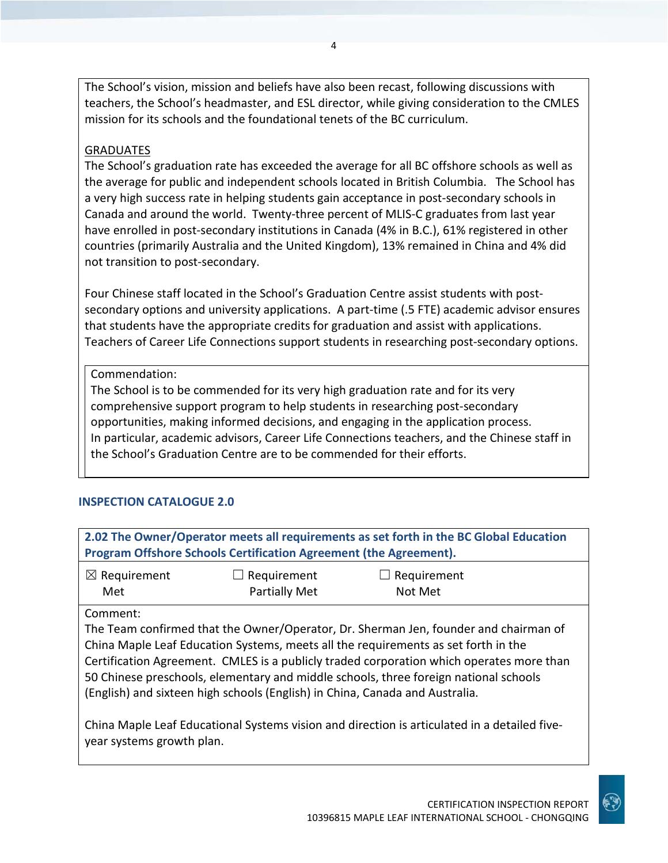The School's vision, mission and beliefs have also been recast, following discussions with teachers, the School's headmaster, and ESL director, while giving consideration to the CMLES mission for its schools and the foundational tenets of the BC curriculum.

### **GRADUATES**

The School's graduation rate has exceeded the average for all BC offshore schools as well as the average for public and independent schools located in British Columbia. The School has a very high success rate in helping students gain acceptance in post-secondary schools in Canada and around the world. Twenty-three percent of MLIS-C graduates from last year have enrolled in post-secondary institutions in Canada (4% in B.C.), 61% registered in other countries (primarily Australia and the United Kingdom), 13% remained in China and 4% did not transition to post-secondary.

Four Chinese staff located in the School's Graduation Centre assist students with postsecondary options and university applications. A part-time (.5 FTE) academic advisor ensures that students have the appropriate credits for graduation and assist with applications. Teachers of Career Life Connections support students in researching post-secondary options.

Commendation:

The School is to be commended for its very high graduation rate and for its very comprehensive support program to help students in researching post-secondary opportunities, making informed decisions, and engaging in the application process. In particular, academic advisors, Career Life Connections teachers, and the Chinese staff in the School's Graduation Centre are to be commended for their efforts.

# **INSPECTION CATALOGUE 2.0**

| 2.02 The Owner/Operator meets all requirements as set forth in the BC Global Education<br>Program Offshore Schools Certification Agreement (the Agreement). |                                                                             |  |  |
|-------------------------------------------------------------------------------------------------------------------------------------------------------------|-----------------------------------------------------------------------------|--|--|
| $\boxtimes$ Requirement<br>Met                                                                                                                              | $\Box$ Requirement<br>$\Box$ Requirement<br><b>Partially Met</b><br>Not Met |  |  |
|                                                                                                                                                             |                                                                             |  |  |

### Comment:

The Team confirmed that the Owner/Operator, Dr. Sherman Jen, founder and chairman of China Maple Leaf Education Systems, meets all the requirements as set forth in the Certification Agreement. CMLES is a publicly traded corporation which operates more than 50 Chinese preschools, elementary and middle schools, three foreign national schools (English) and sixteen high schools (English) in China, Canada and Australia.

China Maple Leaf Educational Systems vision and direction is articulated in a detailed fiveyear systems growth plan.

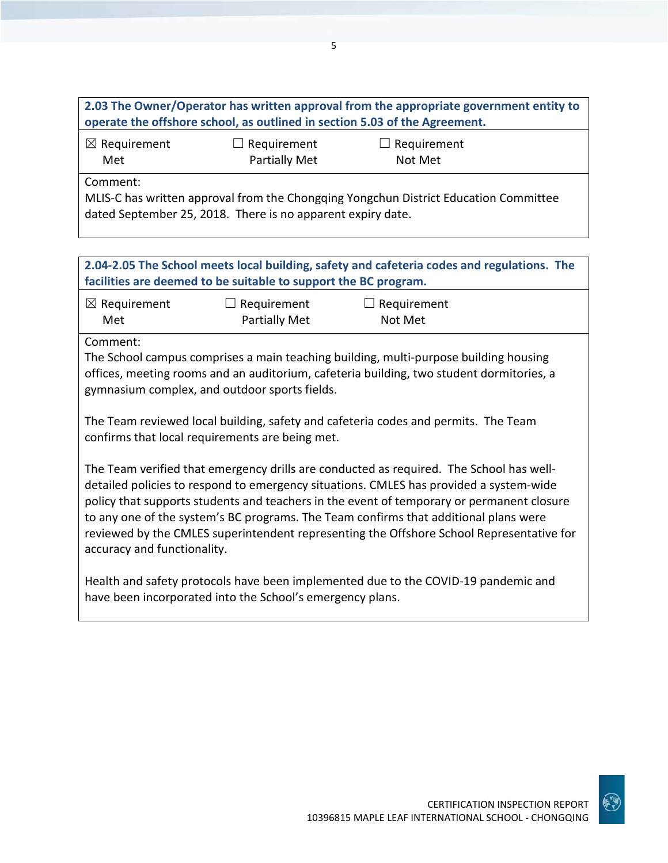**2.03 The Owner/Operator has written approval from the appropriate government entity to operate the offshore school, as outlined in section 5.03 of the Agreement.**

| $\boxtimes$ Requirement | $\Box$ Requirement   |  |
|-------------------------|----------------------|--|
| Met                     | <b>Partially Met</b> |  |

 $\Box$  Requirement Not Met

Comment:

MLIS-C has written approval from the Chongqing Yongchun District Education Committee dated September 25, 2018. There is no apparent expiry date.

**2.04-2.05 The School meets local building, safety and cafeteria codes and regulations. The facilities are deemed to be suitable to support the BC program.**

| $\boxtimes$ Requirement | $\Box$ Requirement   | $\Box$ Requirement |
|-------------------------|----------------------|--------------------|
| Met                     | <b>Partially Met</b> | Not Met            |

Comment:

The School campus comprises a main teaching building, multi-purpose building housing offices, meeting rooms and an auditorium, cafeteria building, two student dormitories, a gymnasium complex, and outdoor sports fields.

The Team reviewed local building, safety and cafeteria codes and permits. The Team confirms that local requirements are being met.

The Team verified that emergency drills are conducted as required. The School has welldetailed policies to respond to emergency situations. CMLES has provided a system-wide policy that supports students and teachers in the event of temporary or permanent closure to any one of the system's BC programs. The Team confirms that additional plans were reviewed by the CMLES superintendent representing the Offshore School Representative for accuracy and functionality.

Health and safety protocols have been implemented due to the COVID-19 pandemic and have been incorporated into the School's emergency plans.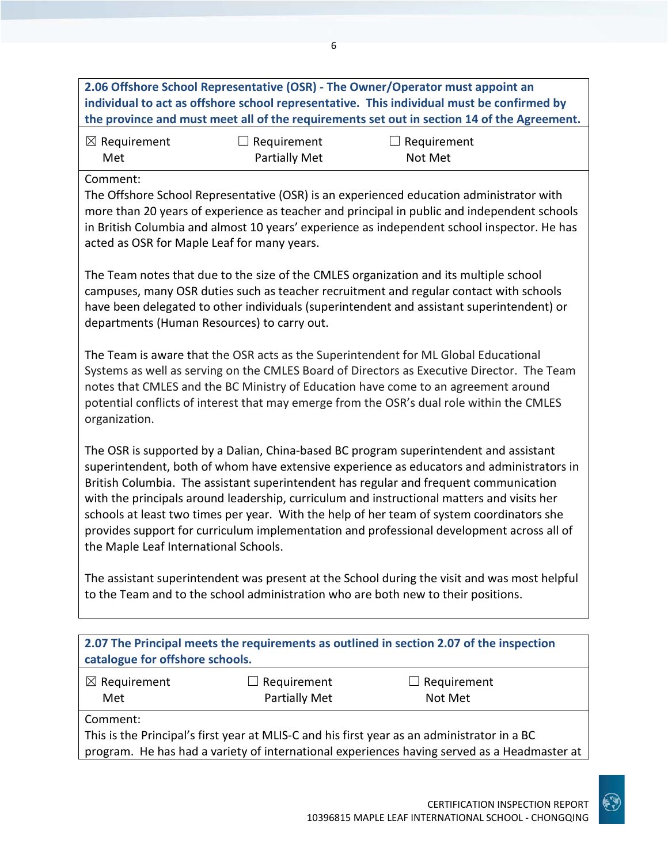**2.06 Offshore School Representative (OSR) - The Owner/Operator must appoint an individual to act as offshore school representative. This individual must be confirmed by the province and must meet all of the requirements set out in section 14 of the Agreement.**

| $\boxtimes$ Requirement | $\Box$ Requirement   | $\Box$ Requirement |
|-------------------------|----------------------|--------------------|
| Met                     | <b>Partially Met</b> | Not Met            |

Comment:

The Offshore School Representative (OSR) is an experienced education administrator with more than 20 years of experience as teacher and principal in public and independent schools in British Columbia and almost 10 years' experience as independent school inspector. He has acted as OSR for Maple Leaf for many years.

The Team notes that due to the size of the CMLES organization and its multiple school campuses, many OSR duties such as teacher recruitment and regular contact with schools have been delegated to other individuals (superintendent and assistant superintendent) or departments (Human Resources) to carry out.

The Team is aware that the OSR acts as the Superintendent for ML Global Educational Systems as well as serving on the CMLES Board of Directors as Executive Director. The Team notes that CMLES and the BC Ministry of Education have come to an agreement around potential conflicts of interest that may emerge from the OSR's dual role within the CMLES organization.

The OSR is supported by a Dalian, China-based BC program superintendent and assistant superintendent, both of whom have extensive experience as educators and administrators in British Columbia. The assistant superintendent has regular and frequent communication with the principals around leadership, curriculum and instructional matters and visits her schools at least two times per year. With the help of her team of system coordinators she provides support for curriculum implementation and professional development across all of the Maple Leaf International Schools.

The assistant superintendent was present at the School during the visit and was most helpful to the Team and to the school administration who are both new to their positions.

| 2.07 The Principal meets the requirements as outlined in section 2.07 of the inspection<br>catalogue for offshore schools. |  |  |  |
|----------------------------------------------------------------------------------------------------------------------------|--|--|--|
| $\boxtimes$ Requirement<br>$\Box$ Requirement<br>$\Box$ Requirement<br>Partially Met<br>Not Met<br>Met                     |  |  |  |
| Comment:                                                                                                                   |  |  |  |
| This is the Principal's first year at MLIS-C and his first year as an administrator in a BC                                |  |  |  |

program. He has had a variety of international experiences having served as a Headmaster at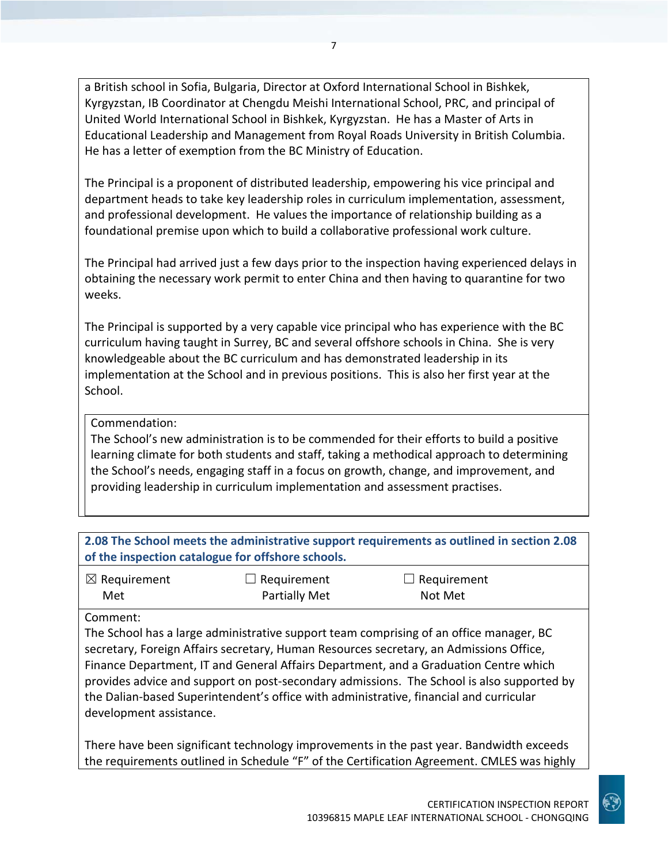a British school in Sofia, Bulgaria, Director at Oxford International School in Bishkek, Kyrgyzstan, IB Coordinator at Chengdu Meishi International School, PRC, and principal of United World International School in Bishkek, Kyrgyzstan. He has a Master of Arts in Educational Leadership and Management from Royal Roads University in British Columbia. He has a letter of exemption from the BC Ministry of Education.

The Principal is a proponent of distributed leadership, empowering his vice principal and department heads to take key leadership roles in curriculum implementation, assessment, and professional development. He values the importance of relationship building as a foundational premise upon which to build a collaborative professional work culture.

The Principal had arrived just a few days prior to the inspection having experienced delays in obtaining the necessary work permit to enter China and then having to quarantine for two weeks.

The Principal is supported by a very capable vice principal who has experience with the BC curriculum having taught in Surrey, BC and several offshore schools in China. She is very knowledgeable about the BC curriculum and has demonstrated leadership in its implementation at the School and in previous positions. This is also her first year at the School.

# Commendation:

The School's new administration is to be commended for their efforts to build a positive learning climate for both students and staff, taking a methodical approach to determining the School's needs, engaging staff in a focus on growth, change, and improvement, and providing leadership in curriculum implementation and assessment practises.

| 2.08 The School meets the administrative support requirements as outlined in section 2.08<br>of the inspection catalogue for offshore schools. |                      |                    |
|------------------------------------------------------------------------------------------------------------------------------------------------|----------------------|--------------------|
| $\boxtimes$ Requirement                                                                                                                        | $\Box$ Requirement   | $\Box$ Requirement |
| Met                                                                                                                                            | <b>Partially Met</b> | Not Met            |
| Comment:                                                                                                                                       |                      |                    |

The School has a large administrative support team comprising of an office manager, BC secretary, Foreign Affairs secretary, Human Resources secretary, an Admissions Office, Finance Department, IT and General Affairs Department, and a Graduation Centre which provides advice and support on post-secondary admissions. The School is also supported by the Dalian-based Superintendent's office with administrative, financial and curricular development assistance.

There have been significant technology improvements in the past year. Bandwidth exceeds the requirements outlined in Schedule "F" of the Certification Agreement. CMLES was highly

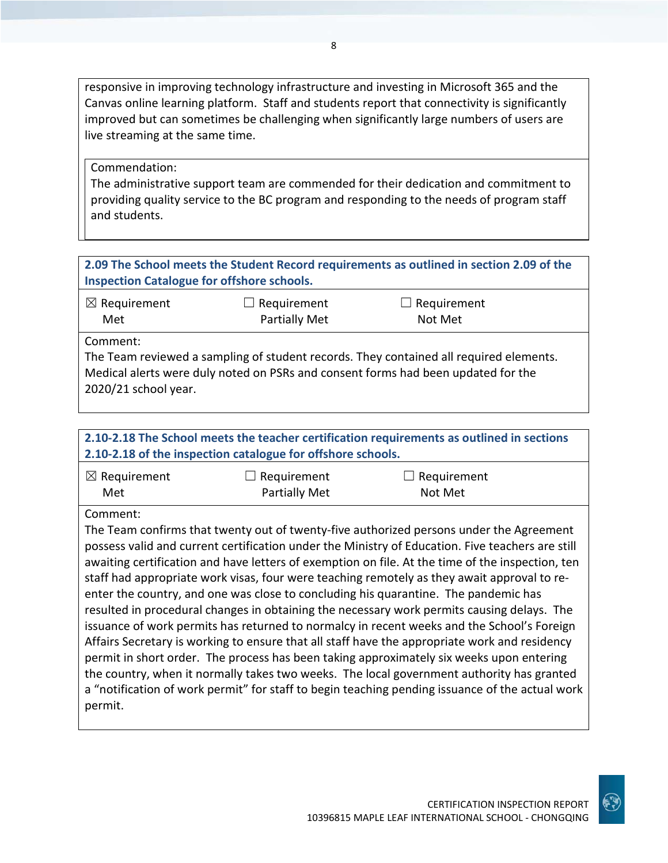responsive in improving technology infrastructure and investing in Microsoft 365 and the Canvas online learning platform. Staff and students report that connectivity is significantly improved but can sometimes be challenging when significantly large numbers of users are live streaming at the same time.

### Commendation:

The administrative support team are commended for their dedication and commitment to providing quality service to the BC program and responding to the needs of program staff and students.

# **2.09 The School meets the Student Record requirements as outlined in section 2.09 of the Inspection Catalogue for offshore schools.**

| $\boxtimes$ Requirement | $\Box$ Requirement   | $\Box$ Requirement |  |
|-------------------------|----------------------|--------------------|--|
| Met                     | <b>Partially Met</b> | Not Met            |  |
|                         |                      |                    |  |

Comment:

The Team reviewed a sampling of student records. They contained all required elements. Medical alerts were duly noted on PSRs and consent forms had been updated for the 2020/21 school year.

# **2.10-2.18 The School meets the teacher certification requirements as outlined in sections 2.10-2.18 of the inspection catalogue for offshore schools.**

| $\boxtimes$ Requirement | $\Box$ Requirement   | $\Box$ Requirement |
|-------------------------|----------------------|--------------------|
| Met                     | <b>Partially Met</b> | Not Met            |

Comment:

The Team confirms that twenty out of twenty-five authorized persons under the Agreement possess valid and current certification under the Ministry of Education. Five teachers are still awaiting certification and have letters of exemption on file. At the time of the inspection, ten staff had appropriate work visas, four were teaching remotely as they await approval to reenter the country, and one was close to concluding his quarantine. The pandemic has resulted in procedural changes in obtaining the necessary work permits causing delays. The issuance of work permits has returned to normalcy in recent weeks and the School's Foreign Affairs Secretary is working to ensure that all staff have the appropriate work and residency permit in short order. The process has been taking approximately six weeks upon entering the country, when it normally takes two weeks. The local government authority has granted a "notification of work permit" for staff to begin teaching pending issuance of the actual work permit.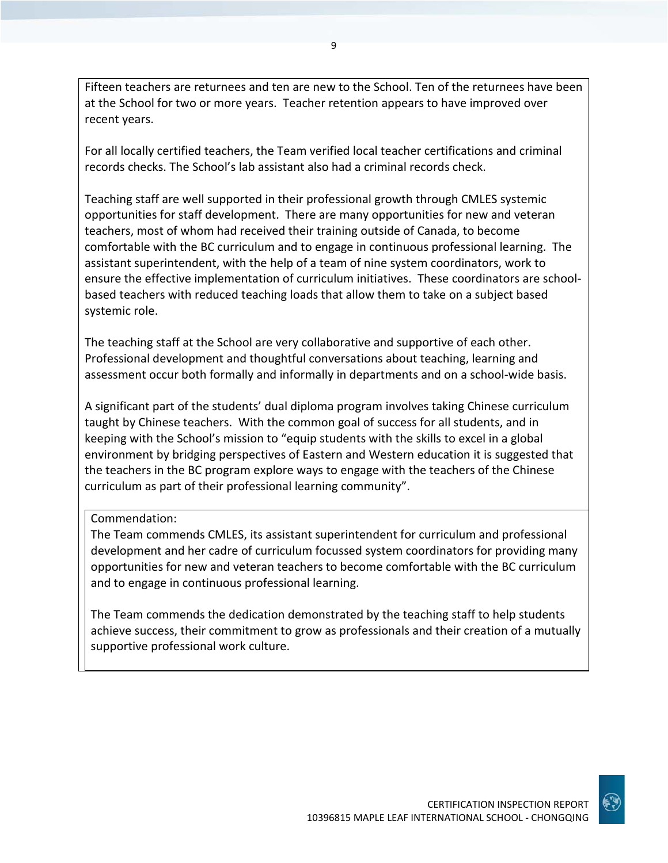Fifteen teachers are returnees and ten are new to the School. Ten of the returnees have been at the School for two or more years. Teacher retention appears to have improved over recent years.

For all locally certified teachers, the Team verified local teacher certifications and criminal records checks. The School's lab assistant also had a criminal records check.

Teaching staff are well supported in their professional growth through CMLES systemic opportunities for staff development. There are many opportunities for new and veteran teachers, most of whom had received their training outside of Canada, to become comfortable with the BC curriculum and to engage in continuous professional learning. The assistant superintendent, with the help of a team of nine system coordinators, work to ensure the effective implementation of curriculum initiatives. These coordinators are schoolbased teachers with reduced teaching loads that allow them to take on a subject based systemic role.

The teaching staff at the School are very collaborative and supportive of each other. Professional development and thoughtful conversations about teaching, learning and assessment occur both formally and informally in departments and on a school-wide basis.

A significant part of the students' dual diploma program involves taking Chinese curriculum taught by Chinese teachers. With the common goal of success for all students, and in keeping with the School's mission to "equip students with the skills to excel in a global environment by bridging perspectives of Eastern and Western education it is suggested that the teachers in the BC program explore ways to engage with the teachers of the Chinese curriculum as part of their professional learning community".

Commendation:

The Team commends CMLES, its assistant superintendent for curriculum and professional development and her cadre of curriculum focussed system coordinators for providing many opportunities for new and veteran teachers to become comfortable with the BC curriculum and to engage in continuous professional learning.

The Team commends the dedication demonstrated by the teaching staff to help students achieve success, their commitment to grow as professionals and their creation of a mutually supportive professional work culture.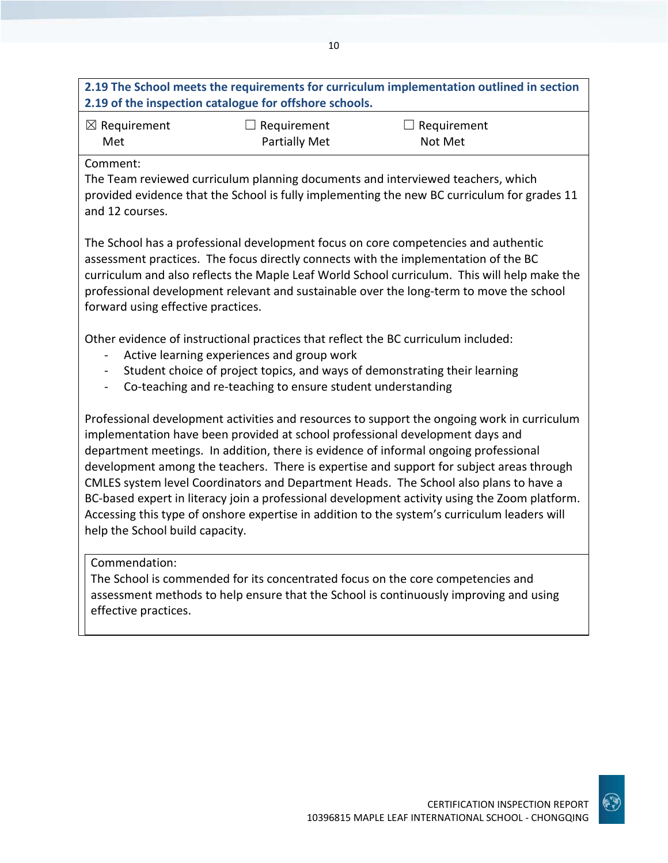# **2.19 The School meets the requirements for curriculum implementation outlined in section 2.19 of the inspection catalogue for offshore schools.**

10

| $\boxtimes$ Requirement | $\Box$ Requirement | $\Box$ Requirement |
|-------------------------|--------------------|--------------------|
| Met                     | Partially Met      | Not Met            |

### Comment:

The Team reviewed curriculum planning documents and interviewed teachers, which provided evidence that the School is fully implementing the new BC curriculum for grades 11 and 12 courses.

The School has a professional development focus on core competencies and authentic assessment practices. The focus directly connects with the implementation of the BC curriculum and also reflects the Maple Leaf World School curriculum. This will help make the professional development relevant and sustainable over the long-term to move the school forward using effective practices.

Other evidence of instructional practices that reflect the BC curriculum included:

- Active learning experiences and group work
- Student choice of project topics, and ways of demonstrating their learning
- Co-teaching and re-teaching to ensure student understanding

Professional development activities and resources to support the ongoing work in curriculum implementation have been provided at school professional development days and department meetings. In addition, there is evidence of informal ongoing professional development among the teachers. There is expertise and support for subject areas through CMLES system level Coordinators and Department Heads. The School also plans to have a BC-based expert in literacy join a professional development activity using the Zoom platform. Accessing this type of onshore expertise in addition to the system's curriculum leaders will help the School build capacity.

# Commendation:

The School is commended for its concentrated focus on the core competencies and assessment methods to help ensure that the School is continuously improving and using effective practices.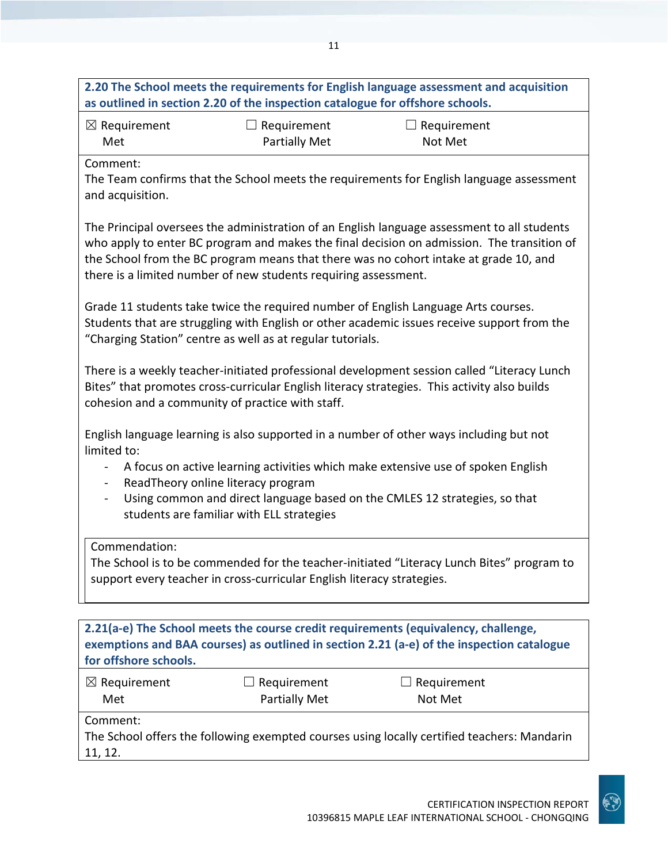|                                                                                                                                                                                                                                                                                                                                                             | as outlined in section 2.20 of the inspection catalogue for offshore schools. | 2.20 The School meets the requirements for English language assessment and acquisition                                                                                                                                                                                             |  |
|-------------------------------------------------------------------------------------------------------------------------------------------------------------------------------------------------------------------------------------------------------------------------------------------------------------------------------------------------------------|-------------------------------------------------------------------------------|------------------------------------------------------------------------------------------------------------------------------------------------------------------------------------------------------------------------------------------------------------------------------------|--|
| $\boxtimes$ Requirement<br>Met                                                                                                                                                                                                                                                                                                                              | $\Box$ Requirement<br><b>Partially Met</b>                                    | $\Box$ Requirement<br>Not Met                                                                                                                                                                                                                                                      |  |
| Comment:<br>and acquisition.                                                                                                                                                                                                                                                                                                                                |                                                                               | The Team confirms that the School meets the requirements for English language assessment                                                                                                                                                                                           |  |
|                                                                                                                                                                                                                                                                                                                                                             | there is a limited number of new students requiring assessment.               | The Principal oversees the administration of an English language assessment to all students<br>who apply to enter BC program and makes the final decision on admission. The transition of<br>the School from the BC program means that there was no cohort intake at grade 10, and |  |
|                                                                                                                                                                                                                                                                                                                                                             | "Charging Station" centre as well as at regular tutorials.                    | Grade 11 students take twice the required number of English Language Arts courses.<br>Students that are struggling with English or other academic issues receive support from the                                                                                                  |  |
| There is a weekly teacher-initiated professional development session called "Literacy Lunch<br>Bites" that promotes cross-curricular English literacy strategies. This activity also builds<br>cohesion and a community of practice with staff.                                                                                                             |                                                                               |                                                                                                                                                                                                                                                                                    |  |
| English language learning is also supported in a number of other ways including but not<br>limited to:<br>A focus on active learning activities which make extensive use of spoken English<br>ReadTheory online literacy program<br>Using common and direct language based on the CMLES 12 strategies, so that<br>students are familiar with ELL strategies |                                                                               |                                                                                                                                                                                                                                                                                    |  |
| Commendation:                                                                                                                                                                                                                                                                                                                                               | support every teacher in cross-curricular English literacy strategies.        | The School is to be commended for the teacher-initiated "Literacy Lunch Bites" program to                                                                                                                                                                                          |  |
| for offshore schools.                                                                                                                                                                                                                                                                                                                                       |                                                                               | 2.21(a-e) The School meets the course credit requirements (equivalency, challenge,<br>exemptions and BAA courses) as outlined in section 2.21 (a-e) of the inspection catalogue                                                                                                    |  |
| $\boxtimes$ Requirement<br>Met                                                                                                                                                                                                                                                                                                                              | Requirement<br><b>Partially Met</b>                                           | $\Box$ Requirement<br>Not Met                                                                                                                                                                                                                                                      |  |
| Comment:<br>11, 12.                                                                                                                                                                                                                                                                                                                                         |                                                                               | The School offers the following exempted courses using locally certified teachers: Mandarin                                                                                                                                                                                        |  |

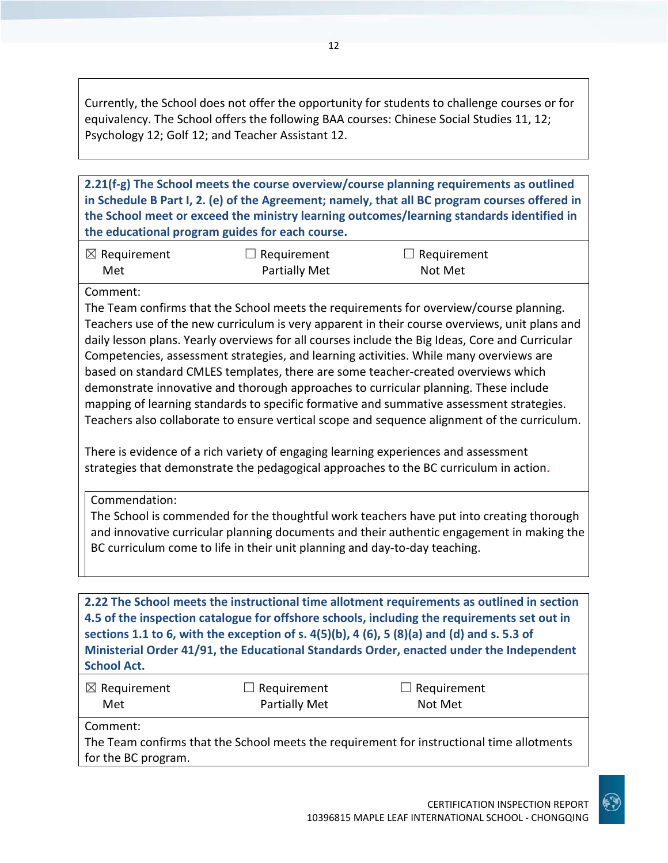Currently, the School does not offer the opportunity for students to challenge courses or for equivalency. The School offers the following BAA courses: Chinese Social Studies 11, 12; Psychology 12; Golf 12; and Teacher Assistant 12.

12

**2.21(f-g) The School meets the course overview/course planning requirements as outlined in Schedule B Part I, 2. (e) of the Agreement; namely, that all BC program courses offered in the School meet or exceed the ministry learning outcomes/learning standards identified in the educational program guides for each course.**

| $\boxtimes$ Requirement | $\Box$ Requirement   | $\Box$ Requirement |
|-------------------------|----------------------|--------------------|
| Met                     | <b>Partially Met</b> | Not Met            |

### Comment:

The Team confirms that the School meets the requirements for overview/course planning. Teachers use of the new curriculum is very apparent in their course overviews, unit plans and daily lesson plans. Yearly overviews for all courses include the Big Ideas, Core and Curricular Competencies, assessment strategies, and learning activities. While many overviews are based on standard CMLES templates, there are some teacher-created overviews which demonstrate innovative and thorough approaches to curricular planning. These include mapping of learning standards to specific formative and summative assessment strategies. Teachers also collaborate to ensure vertical scope and sequence alignment of the curriculum.

There is evidence of a rich variety of engaging learning experiences and assessment strategies that demonstrate the pedagogical approaches to the BC curriculum in action.

Commendation:

The School is commended for the thoughtful work teachers have put into creating thorough and innovative curricular planning documents and their authentic engagement in making the BC curriculum come to life in their unit planning and day-to-day teaching.

**2.22 The School meets the instructional time allotment requirements as outlined in section 4.5 of the inspection catalogue for offshore schools, including the requirements set out in sections 1.1 to 6, with the exception of s. 4(5)(b), 4 (6), 5 (8)(a) and (d) and s. 5.3 of Ministerial Order 41/91, the Educational Standards Order, enacted under the Independent School Act.**

| $\boxtimes$ Requirement | $\Box$ Requirement | $\Box$ Requirement |
|-------------------------|--------------------|--------------------|
| Met                     | Partially Met      | Not Met            |

Comment:

The Team confirms that the School meets the requirement for instructional time allotments for the BC program.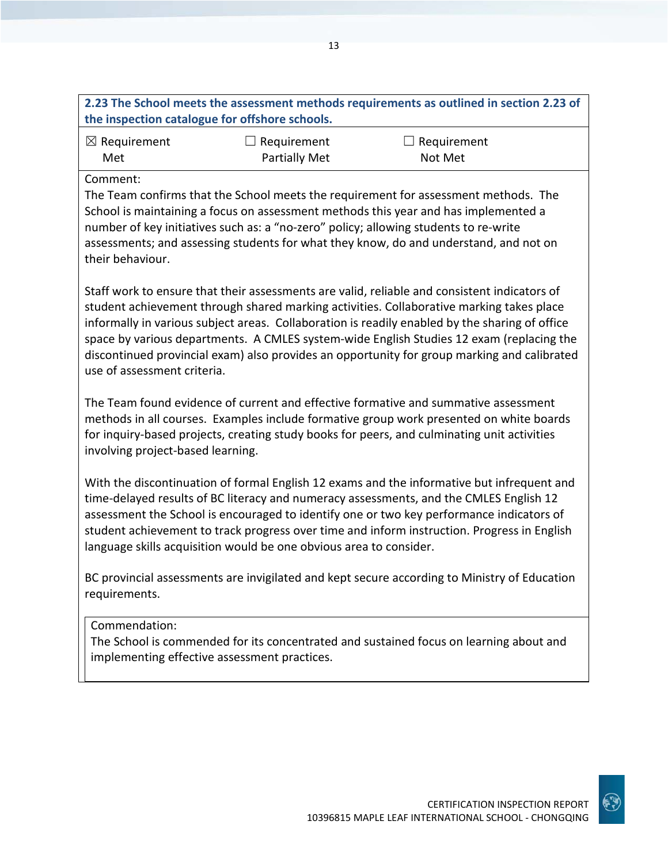| 2.23 The School meets the assessment methods requirements as outlined in section 2.23 of |
|------------------------------------------------------------------------------------------|
| the inspection catalogue for offshore schools.                                           |
|                                                                                          |

| $\boxtimes$ Requirement | $\Box$ Requirement | $\Box$ Requirement |
|-------------------------|--------------------|--------------------|
| Met                     | Partially Met      | Not Met            |

Comment:

The Team confirms that the School meets the requirement for assessment methods. The School is maintaining a focus on assessment methods this year and has implemented a number of key initiatives such as: a "no-zero" policy; allowing students to re-write assessments; and assessing students for what they know, do and understand, and not on their behaviour.

Staff work to ensure that their assessments are valid, reliable and consistent indicators of student achievement through shared marking activities. Collaborative marking takes place informally in various subject areas. Collaboration is readily enabled by the sharing of office space by various departments. A CMLES system-wide English Studies 12 exam (replacing the discontinued provincial exam) also provides an opportunity for group marking and calibrated use of assessment criteria.

The Team found evidence of current and effective formative and summative assessment methods in all courses. Examples include formative group work presented on white boards for inquiry-based projects, creating study books for peers, and culminating unit activities involving project-based learning.

With the discontinuation of formal English 12 exams and the informative but infrequent and time-delayed results of BC literacy and numeracy assessments, and the CMLES English 12 assessment the School is encouraged to identify one or two key performance indicators of student achievement to track progress over time and inform instruction. Progress in English language skills acquisition would be one obvious area to consider.

BC provincial assessments are invigilated and kept secure according to Ministry of Education requirements.

### Commendation:

The School is commended for its concentrated and sustained focus on learning about and implementing effective assessment practices.

CERTIFICATION INSPECTION REPORT

10396815 MAPLE LEAF INTERNATIONAL SCHOOL - CHONGQING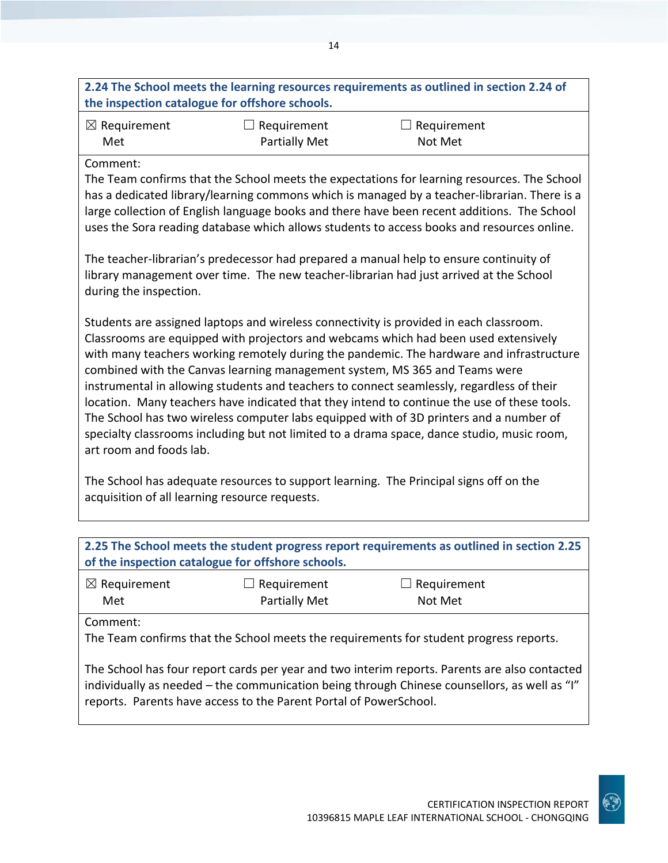# **2.24 The School meets the learning resources requirements as outlined in section 2.24 of the inspection catalogue for offshore schools.**

| $\boxtimes$ Requirement | $\Box$ Requirement | $\Box$ Requirement |
|-------------------------|--------------------|--------------------|
| Met                     | Partially Met      | Not Met            |

### Comment:

The Team confirms that the School meets the expectations for learning resources. The School has a dedicated library/learning commons which is managed by a teacher-librarian. There is a large collection of English language books and there have been recent additions. The School uses the Sora reading database which allows students to access books and resources online.

The teacher-librarian's predecessor had prepared a manual help to ensure continuity of library management over time. The new teacher-librarian had just arrived at the School during the inspection.

Students are assigned laptops and wireless connectivity is provided in each classroom. Classrooms are equipped with projectors and webcams which had been used extensively with many teachers working remotely during the pandemic. The hardware and infrastructure combined with the Canvas learning management system, MS 365 and Teams were instrumental in allowing students and teachers to connect seamlessly, regardless of their location. Many teachers have indicated that they intend to continue the use of these tools. The School has two wireless computer labs equipped with of 3D printers and a number of specialty classrooms including but not limited to a drama space, dance studio, music room, art room and foods lab.

The School has adequate resources to support learning. The Principal signs off on the acquisition of all learning resource requests.

| 2.25 The School meets the student progress report requirements as outlined in section 2.25<br>of the inspection catalogue for offshore schools.                                             |                      |                    |
|---------------------------------------------------------------------------------------------------------------------------------------------------------------------------------------------|----------------------|--------------------|
| $\boxtimes$ Requirement                                                                                                                                                                     | $\Box$ Requirement   | $\Box$ Requirement |
| Met                                                                                                                                                                                         | <b>Partially Met</b> | Not Met            |
| Comment:                                                                                                                                                                                    |                      |                    |
| The Team confirms that the School meets the requirements for student progress reports.                                                                                                      |                      |                    |
| The School has four report cards per year and two interim reports. Parents are also contacted<br>individually as nooded the semmunication being through Chinese counsellars, as well as "I" |                      |                    |

individually as needed – the communication being through Chinese counsellors, as well as "I" reports. Parents have access to the Parent Portal of PowerSchool.



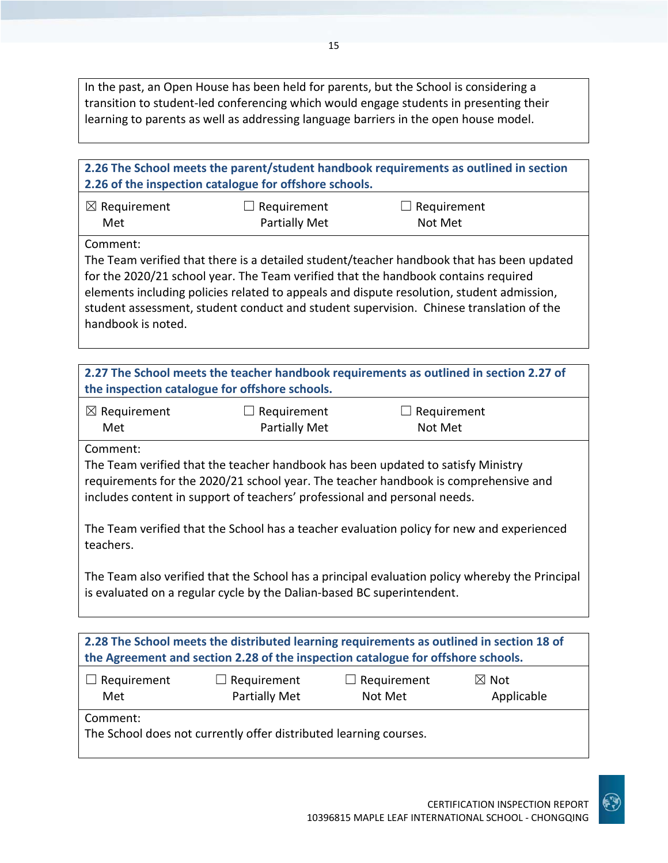In the past, an Open House has been held for parents, but the School is considering a transition to student-led conferencing which would engage students in presenting their learning to parents as well as addressing language barriers in the open house model.

| 2.26 The School meets the parent/student handbook requirements as outlined in section<br>2.26 of the inspection catalogue for offshore schools.                                                                                                                                                                                                                                                           |                                                                   |                               |                               |
|-----------------------------------------------------------------------------------------------------------------------------------------------------------------------------------------------------------------------------------------------------------------------------------------------------------------------------------------------------------------------------------------------------------|-------------------------------------------------------------------|-------------------------------|-------------------------------|
| $\boxtimes$ Requirement<br>Met                                                                                                                                                                                                                                                                                                                                                                            | $\Box$ Requirement<br>Partially Met                               | $\Box$ Requirement<br>Not Met |                               |
| Comment:<br>The Team verified that there is a detailed student/teacher handbook that has been updated<br>for the 2020/21 school year. The Team verified that the handbook contains required<br>elements including policies related to appeals and dispute resolution, student admission,<br>student assessment, student conduct and student supervision. Chinese translation of the<br>handbook is noted. |                                                                   |                               |                               |
| 2.27 The School meets the teacher handbook requirements as outlined in section 2.27 of<br>the inspection catalogue for offshore schools.                                                                                                                                                                                                                                                                  |                                                                   |                               |                               |
| $\boxtimes$ Requirement<br>Met                                                                                                                                                                                                                                                                                                                                                                            | $\Box$ Requirement<br>Partially Met                               | $\Box$ Requirement<br>Not Met |                               |
| Comment:<br>The Team verified that the teacher handbook has been updated to satisfy Ministry<br>requirements for the 2020/21 school year. The teacher handbook is comprehensive and<br>includes content in support of teachers' professional and personal needs.                                                                                                                                          |                                                                   |                               |                               |
| The Team verified that the School has a teacher evaluation policy for new and experienced<br>teachers.                                                                                                                                                                                                                                                                                                    |                                                                   |                               |                               |
| The Team also verified that the School has a principal evaluation policy whereby the Principal<br>is evaluated on a regular cycle by the Dalian-based BC superintendent.                                                                                                                                                                                                                                  |                                                                   |                               |                               |
| 2.28 The School meets the distributed learning requirements as outlined in section 18 of<br>the Agreement and section 2.28 of the inspection catalogue for offshore schools.                                                                                                                                                                                                                              |                                                                   |                               |                               |
| Requirement<br>Met                                                                                                                                                                                                                                                                                                                                                                                        | Requirement<br><b>Partially Met</b>                               | Requirement<br>Not Met        | $\boxtimes$ Not<br>Applicable |
| Comment:                                                                                                                                                                                                                                                                                                                                                                                                  | The School does not currently offer distributed learning courses. |                               |                               |